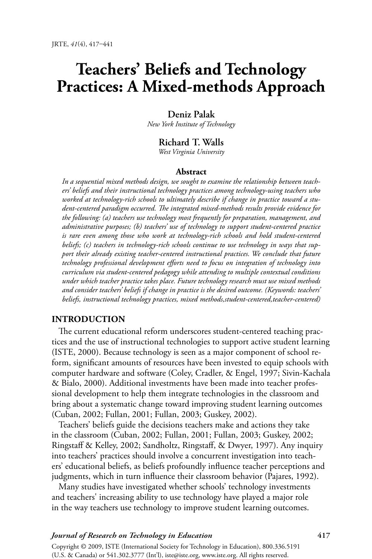## **Teachers' Beliefs and Technology Practices: A Mixed-methods Approach**

### **Deniz Palak**

*New York Institute of Technology*

### **Richard T. Walls**

*West Virginia University*

### **Abstract**

*In a sequential mixed methods design, we sought to examine the relationship between teachers' beliefs and their instructional technology practices among technology-using teachers who worked at technology-rich schools to ultimately describe if change in practice toward a student-centered paradigm occurred. The integrated mixed-methods results provide evidence for the following: (a) teachers use technology most frequently for preparation, management, and administrative purposes; (b) teachers' use of technology to support student-centered practice is rare even among those who work at technology-rich schools and hold student-centered beliefs; (c) teachers in technology-rich schools continue to use technology in ways that support their already existing teacher-centered instructional practices. We conclude that future technology professional development efforts need to focus on integration of technology into curriculum via student-centered pedagogy while attending to multiple contextual conditions under which teacher practice takes place. Future technology research must use mixed methods and consider teachers' beliefs if change in practice is the desired outcome. (Keywords: teachers' beliefs, instructional technology practices, mixed methods,student-centered,teacher-centered)*

### **INTRODUCTION**

The current educational reform underscores student-centered teaching practices and the use of instructional technologies to support active student learning (ISTE, 2000). Because technology is seen as a major component of school reform, significant amounts of resources have been invested to equip schools with computer hardware and software (Coley, Cradler, & Engel, 1997; Sivin-Kachala & Bialo, 2000). Additional investments have been made into teacher professional development to help them integrate technologies in the classroom and bring about a systematic change toward improving student learning outcomes (Cuban, 2002; Fullan, 2001; Fullan, 2003; Guskey, 2002).

Teachers' beliefs guide the decisions teachers make and actions they take in the classroom (Cuban, 2002; Fullan, 2001; Fullan, 2003; Guskey, 2002; Ringstaff & Kelley, 2002; Sandholtz, Ringstaff, & Dwyer, 1997). Any inquiry into teachers' practices should involve a concurrent investigation into teachers' educational beliefs, as beliefs profoundly influence teacher perceptions and judgments, which in turn influence their classroom behavior (Pajares, 1992).

Many studies have investigated whether schools' technology investments and teachers' increasing ability to use technology have played a major role in the way teachers use technology to improve student learning outcomes.

### *Journal of Research on Technology in Education* **417**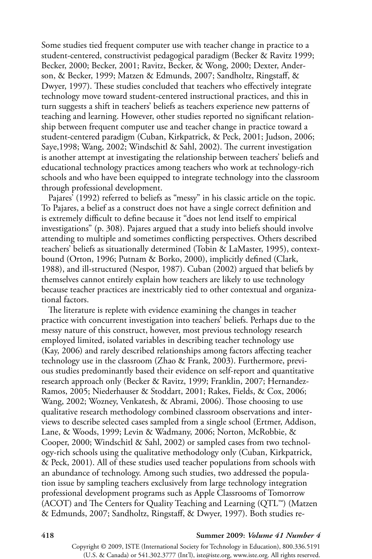Some studies tied frequent computer use with teacher change in practice to a student-centered, constructivist pedagogical paradigm (Becker & Ravitz 1999; Becker, 2000; Becker, 2001; Ravitz, Becker, & Wong, 2000; Dexter, Anderson, & Becker, 1999; Matzen & Edmunds, 2007; Sandholtz, Ringstaff, & Dwyer, 1997). These studies concluded that teachers who effectively integrate technology move toward student-centered instructional practices, and this in turn suggests a shift in teachers' beliefs as teachers experience new patterns of teaching and learning. However, other studies reported no significant relationship between frequent computer use and teacher change in practice toward a student-centered paradigm (Cuban, Kirkpatrick, & Peck, 2001; Judson, 2006; Saye,1998; Wang, 2002; Windschitl & Sahl, 2002). The current investigation is another attempt at investigating the relationship between teachers' beliefs and educational technology practices among teachers who work at technology-rich schools and who have been equipped to integrate technology into the classroom through professional development.

Pajares' (1992) referred to beliefs as "messy" in his classic article on the topic. To Pajares, a belief as a construct does not have a single correct definition and is extremely difficult to define because it "does not lend itself to empirical investigations" (p. 308). Pajares argued that a study into beliefs should involve attending to multiple and sometimes conflicting perspectives. Others described teachers' beliefs as situationally determined (Tobin & LaMaster, 1995), contextbound (Orton, 1996; Putnam & Borko, 2000), implicitly defined (Clark, 1988), and ill-structured (Nespor, 1987). Cuban (2002) argued that beliefs by themselves cannot entirely explain how teachers are likely to use technology because teacher practices are inextricably tied to other contextual and organizational factors.

The literature is replete with evidence examining the changes in teacher practice with concurrent investigation into teachers' beliefs. Perhaps due to the messy nature of this construct, however, most previous technology research employed limited, isolated variables in describing teacher technology use (Kay, 2006) and rarely described relationships among factors affecting teacher technology use in the classroom (Zhao & Frank, 2003). Furthermore, previous studies predominantly based their evidence on self-report and quantitative research approach only (Becker & Ravitz, 1999; Franklin, 2007; Hernandez-Ramos, 2005; Niederhauser & Stoddart, 2001; Rakes, Fields, & Cox, 2006; Wang, 2002; Wozney, Venkatesh, & Abrami, 2006). Those choosing to use qualitative research methodology combined classroom observations and interviews to describe selected cases sampled from a single school (Ertmer, Addison, Lane, & Woods, 1999; Levin & Wadmany, 2006; Norton, McRobbie, & Cooper, 2000; Windschitl & Sahl, 2002) or sampled cases from two technology-rich schools using the qualitative methodology only (Cuban, Kirkpatrick, & Peck, 2001). All of these studies used teacher populations from schools with an abundance of technology. Among such studies, two addressed the population issue by sampling teachers exclusively from large technology integration professional development programs such as Apple Classrooms of Tomorrow (ACOT) and The Centers for Quality Teaching and Learning (QTL™) (Matzen & Edmunds, 2007; Sandholtz, Ringstaff, & Dwyer, 1997). Both studies re-

### **418 Summer 2009:** *Volume 41 Number 4*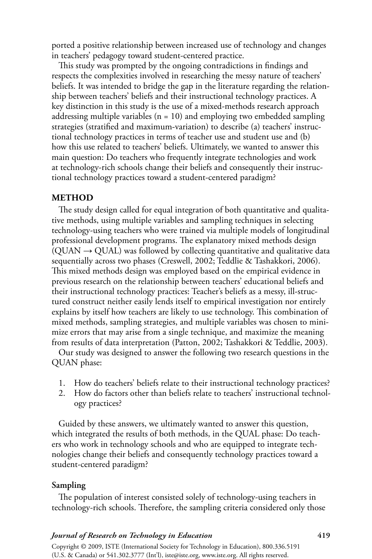ported a positive relationship between increased use of technology and changes in teachers' pedagogy toward student-centered practice.

This study was prompted by the ongoing contradictions in findings and respects the complexities involved in researching the messy nature of teachers' beliefs. It was intended to bridge the gap in the literature regarding the relationship between teachers' beliefs and their instructional technology practices. A key distinction in this study is the use of a mixed-methods research approach addressing multiple variables ( $n = 10$ ) and employing two embedded sampling strategies (stratified and maximum-variation) to describe (a) teachers' instructional technology practices in terms of teacher use and student use and (b) how this use related to teachers' beliefs. Ultimately, we wanted to answer this main question: Do teachers who frequently integrate technologies and work at technology-rich schools change their beliefs and consequently their instructional technology practices toward a student-centered paradigm?

### **METHOD**

The study design called for equal integration of both quantitative and qualitative methods, using multiple variables and sampling techniques in selecting technology-using teachers who were trained via multiple models of longitudinal professional development programs. The explanatory mixed methods design  $\text{(QUAN} \rightarrow \text{QUAL})$  was followed by collecting quantitative and qualitative data sequentially across two phases (Creswell, 2002; Teddlie & Tashakkori, 2006). This mixed methods design was employed based on the empirical evidence in previous research on the relationship between teachers' educational beliefs and their instructional technology practices: Teacher's beliefs as a messy, ill-structured construct neither easily lends itself to empirical investigation nor entirely explains by itself how teachers are likely to use technology. This combination of mixed methods, sampling strategies, and multiple variables was chosen to minimize errors that may arise from a single technique, and maximize the meaning from results of data interpretation (Patton, 2002; Tashakkori & Teddlie, 2003).

Our study was designed to answer the following two research questions in the QUAN phase:

- 1. How do teachers' beliefs relate to their instructional technology practices?
- 2. How do factors other than beliefs relate to teachers' instructional technology practices?

Guided by these answers, we ultimately wanted to answer this question, which integrated the results of both methods, in the QUAL phase: Do teachers who work in technology schools and who are equipped to integrate technologies change their beliefs and consequently technology practices toward a student-centered paradigm?

### **Sampling**

The population of interest consisted solely of technology-using teachers in technology-rich schools. Therefore, the sampling criteria considered only those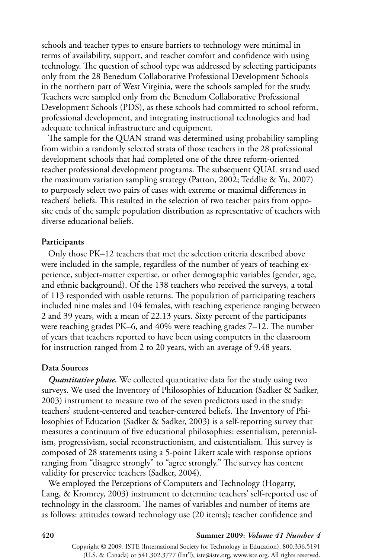schools and teacher types to ensure barriers to technology were minimal in terms of availability, support, and teacher comfort and confidence with using technology. The question of school type was addressed by selecting participants only from the 28 Benedum Collaborative Professional Development Schools in the northern part of West Virginia, were the schools sampled for the study. Teachers were sampled only from the Benedum Collaborative Professional Development Schools (PDS), as these schools had committed to school reform, professional development, and integrating instructional technologies and had adequate technical infrastructure and equipment.

The sample for the QUAN strand was determined using probability sampling from within a randomly selected strata of those teachers in the 28 professional development schools that had completed one of the three reform-oriented teacher professional development programs. The subsequent QUAL strand used the maximum variation sampling strategy (Patton, 2002; Teddlie & Yu, 2007) to purposely select two pairs of cases with extreme or maximal differences in teachers' beliefs. This resulted in the selection of two teacher pairs from opposite ends of the sample population distribution as representative of teachers with diverse educational beliefs.

### **Participants**

Only those PK–12 teachers that met the selection criteria described above were included in the sample, regardless of the number of years of teaching experience, subject-matter expertise, or other demographic variables (gender, age, and ethnic background). Of the 138 teachers who received the surveys, a total of 113 responded with usable returns. The population of participating teachers included nine males and 104 females, with teaching experience ranging between 2 and 39 years, with a mean of 22.13 years. Sixty percent of the participants were teaching grades PK–6, and 40% were teaching grades 7–12. The number of years that teachers reported to have been using computers in the classroom for instruction ranged from 2 to 20 years, with an average of 9.48 years.

### **Data Sources**

*Quantitative phase.* We collected quantitative data for the study using two surveys. We used the Inventory of Philosophies of Education (Sadker & Sadker, 2003) instrument to measure two of the seven predictors used in the study: teachers' student-centered and teacher-centered beliefs. The Inventory of Philosophies of Education (Sadker & Sadker, 2003) is a self-reporting survey that measures a continuum of five educational philosophies: essentialism, perennialism, progressivism, social reconstructionism, and existentialism. This survey is composed of 28 statements using a 5-point Likert scale with response options ranging from "disagree strongly" to "agree strongly." The survey has content validity for preservice teachers (Sadker, 2004).

We employed the Perceptions of Computers and Technology (Hogarty, Lang, & Kromrey, 2003) instrument to determine teachers' self-reported use of technology in the classroom. The names of variables and number of items are as follows: attitudes toward technology use (20 items); teacher confidence and

Copyright © 2009, ISTE (International Society for Technology in Education), 800.336.5191 (U.S. & Canada) or 541.302.3777 (Int'l), iste@iste.org, www.iste.org. All rights reserved.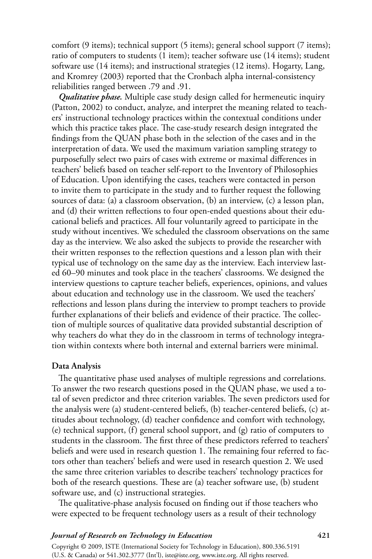comfort (9 items); technical support (5 items); general school support (7 items); ratio of computers to students (1 item); teacher software use (14 items); student software use (14 items); and instructional strategies (12 items). Hogarty, Lang, and Kromrey (2003) reported that the Cronbach alpha internal-consistency reliabilities ranged between .79 and .91.

*Qualitative phase.* Multiple case study design called for hermeneutic inquiry (Patton, 2002) to conduct, analyze, and interpret the meaning related to teachers' instructional technology practices within the contextual conditions under which this practice takes place. The case-study research design integrated the findings from the QUAN phase both in the selection of the cases and in the interpretation of data. We used the maximum variation sampling strategy to purposefully select two pairs of cases with extreme or maximal differences in teachers' beliefs based on teacher self-report to the Inventory of Philosophies of Education. Upon identifying the cases, teachers were contacted in person to invite them to participate in the study and to further request the following sources of data: (a) a classroom observation, (b) an interview, (c) a lesson plan, and (d) their written reflections to four open-ended questions about their educational beliefs and practices. All four voluntarily agreed to participate in the study without incentives. We scheduled the classroom observations on the same day as the interview. We also asked the subjects to provide the researcher with their written responses to the reflection questions and a lesson plan with their typical use of technology on the same day as the interview. Each interview lasted 60–90 minutes and took place in the teachers' classrooms. We designed the interview questions to capture teacher beliefs, experiences, opinions, and values about education and technology use in the classroom. We used the teachers' reflections and lesson plans during the interview to prompt teachers to provide further explanations of their beliefs and evidence of their practice. The collection of multiple sources of qualitative data provided substantial description of why teachers do what they do in the classroom in terms of technology integration within contexts where both internal and external barriers were minimal.

### **Data Analysis**

The quantitative phase used analyses of multiple regressions and correlations. To answer the two research questions posed in the QUAN phase, we used a total of seven predictor and three criterion variables. The seven predictors used for the analysis were (a) student-centered beliefs, (b) teacher-centered beliefs, (c) attitudes about technology, (d) teacher confidence and comfort with technology, (e) technical support, (f) general school support, and (g) ratio of computers to students in the classroom. The first three of these predictors referred to teachers' beliefs and were used in research question 1. The remaining four referred to factors other than teachers' beliefs and were used in research question 2. We used the same three criterion variables to describe teachers' technology practices for both of the research questions. These are (a) teacher software use, (b) student software use, and (c) instructional strategies.

The qualitative-phase analysis focused on finding out if those teachers who were expected to be frequent technology users as a result of their technology

### *Journal of Research on Technology in Education* **421**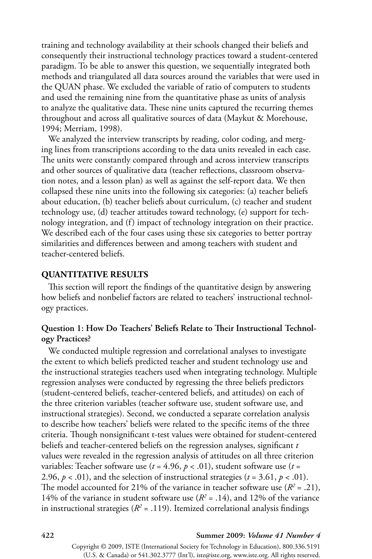training and technology availability at their schools changed their beliefs and consequently their instructional technology practices toward a student-centered paradigm. To be able to answer this question, we sequentially integrated both methods and triangulated all data sources around the variables that were used in the QUAN phase. We excluded the variable of ratio of computers to students and used the remaining nine from the quantitative phase as units of analysis to analyze the qualitative data. These nine units captured the recurring themes throughout and across all qualitative sources of data (Maykut & Morehouse, 1994; Merriam, 1998).

We analyzed the interview transcripts by reading, color coding, and merging lines from transcriptions according to the data units revealed in each case. The units were constantly compared through and across interview transcripts and other sources of qualitative data (teacher reflections, classroom observation notes, and a lesson plan) as well as against the self-report data. We then collapsed these nine units into the following six categories: (a) teacher beliefs about education, (b) teacher beliefs about curriculum, (c) teacher and student technology use, (d) teacher attitudes toward technology, (e) support for technology integration, and (f) impact of technology integration on their practice. We described each of the four cases using these six categories to better portray similarities and differences between and among teachers with student and teacher-centered beliefs.

### **QUANTITATIVE RESULTS**

This section will report the findings of the quantitative design by answering how beliefs and nonbelief factors are related to teachers' instructional technology practices.

### **Question 1: How Do Teachers' Beliefs Relate to Their Instructional Technology Practices?**

We conducted multiple regression and correlational analyses to investigate the extent to which beliefs predicted teacher and student technology use and the instructional strategies teachers used when integrating technology. Multiple regression analyses were conducted by regressing the three beliefs predictors (student-centered beliefs, teacher-centered beliefs, and attitudes) on each of the three criterion variables (teacher software use, student software use, and instructional strategies). Second, we conducted a separate correlation analysis to describe how teachers' beliefs were related to the specific items of the three criteria. Though nonsignificant t-test values were obtained for student-centered beliefs and teacher-centered beliefs on the regression analyses, significant *t* values were revealed in the regression analysis of attitudes on all three criterion variables: Teacher software use (*t* = 4.96, *p* < .01), student software use (*t* = 2.96,  $p < .01$ ), and the selection of instructional strategies ( $t = 3.61$ ,  $p < .01$ ). The model accounted for 21% of the variance in teacher software use  $(R^2 = .21)$ , 14% of the variance in student software use  $(R^2 = .14)$ , and 12% of the variance in instructional strategies ( $R^2$  = .119). Itemized correlational analysis findings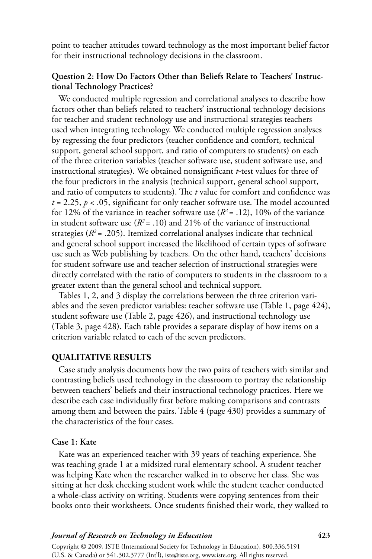point to teacher attitudes toward technology as the most important belief factor for their instructional technology decisions in the classroom.

### **Question 2: How Do Factors Other than Beliefs Relate to Teachers' Instructional Technology Practices?**

We conducted multiple regression and correlational analyses to describe how factors other than beliefs related to teachers' instructional technology decisions for teacher and student technology use and instructional strategies teachers used when integrating technology. We conducted multiple regression analyses by regressing the four predictors (teacher confidence and comfort, technical support, general school support, and ratio of computers to students) on each of the three criterion variables (teacher software use, student software use, and instructional strategies). We obtained nonsignificant *t*-test values for three of the four predictors in the analysis (technical support, general school support, and ratio of computers to students). The *t* value for comfort and confidence was *t* = 2.25, *p* < .05, significant for only teacher software use. The model accounted for 12% of the variance in teacher software use  $(R^2 = .12)$ , 10% of the variance in student software use  $(R^2 = .10)$  and 21% of the variance of instructional strategies ( $R^2$  = .205). Itemized correlational analyses indicate that technical and general school support increased the likelihood of certain types of software use such as Web publishing by teachers. On the other hand, teachers' decisions for student software use and teacher selection of instructional strategies were directly correlated with the ratio of computers to students in the classroom to a greater extent than the general school and technical support.

Tables 1, 2, and 3 display the correlations between the three criterion variables and the seven predictor variables: teacher software use (Table 1, page 424), student software use (Table 2, page 426), and instructional technology use (Table 3, page 428). Each table provides a separate display of how items on a criterion variable related to each of the seven predictors.

### **QUALITATIVE RESULTS**

Case study analysis documents how the two pairs of teachers with similar and contrasting beliefs used technology in the classroom to portray the relationship between teachers' beliefs and their instructional technology practices. Here we describe each case individually first before making comparisons and contrasts among them and between the pairs. Table 4 (page 430) provides a summary of the characteristics of the four cases.

### **Case 1: Kate**

Kate was an experienced teacher with 39 years of teaching experience. She was teaching grade 1 at a midsized rural elementary school. A student teacher was helping Kate when the researcher walked in to observe her class. She was sitting at her desk checking student work while the student teacher conducted a whole-class activity on writing. Students were copying sentences from their books onto their worksheets. Once students finished their work, they walked to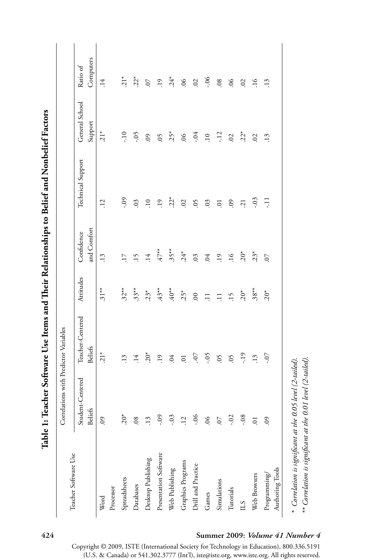| Ï |
|---|
|   |
|   |
|   |
|   |
|   |
|   |
|   |
|   |
|   |
|   |
|   |
|   |

| ļ<br>$\frac{1}{2}$         |
|----------------------------|
| į                          |
|                            |
|                            |
| l                          |
|                            |
| .<br>                      |
| ļ                          |
|                            |
| İ                          |
| ا<br>د<br>.<br>י<br>ו<br>ו |
|                            |
|                            |
| l                          |
|                            |
|                            |

| Teacher Software Use            | Correlations with Predictor Variables |                  |             |                  |                          |                          |                  |
|---------------------------------|---------------------------------------|------------------|-------------|------------------|--------------------------|--------------------------|------------------|
|                                 | Student-Centered<br>J                 | Teacher-Centered | Attitudes   | Confidence       | <b>Technical Support</b> | General School           | Ratio of         |
|                                 | <b>Beliefs</b>                        | <b>Beliefs</b>   |             | and Comfort      |                          | Support                  | Computers        |
| Word                            | <b>90.</b>                            | $21*$            | $.31**$     | .13              | $\ddot{5}$               | $21*$                    | $\overline{14}$  |
| Processor                       |                                       |                  |             |                  |                          |                          |                  |
| Spreadsheets                    | $\ddot{c}$                            | .13              | $32**$      | $\overline{17}$  | eo.                      | $-10$                    | $.21*$           |
| Databases                       | 08                                    | $\frac{14}{5}$   | $.33***$    | .15              | .03                      | $-0.5$                   | $.22*$           |
| Desktop Publishing              | .13                                   | $20*$            | $.23*$      | .14              | $\overline{10}$          | $\ddot{\circ}$           | $\overline{0}$ . |
| Presentation Software           | <b>eo-</b>                            | .19              | $43**$      | $47**$           | $\overline{.}19$         | $\widetilde{\mathrm{O}}$ | $\overline{.}19$ |
| Web Publishing                  | $-0.3$                                | .04              | $40**$      | $35**$           | $.22*$                   | $.25*$                   | $.24*$           |
| Graphics Programs               | .12                                   | $\overline{0}$   | $25*$       | $.24*$           | $\overline{0}$           | $\frac{6}{3}$            | $\sim$           |
| Drill and Practice              | $-0.6$                                | $\mathcal{L}0$ - | 00          | 03               | $\widetilde{\mathrm{O}}$ | $-0.4$                   | 02               |
| Games                           | 06                                    | $-0.5$           | $\Xi$       | 04               | .03                      | $\overline{10}$          | $-0.6$           |
| Simulations                     | $\overline{0}$ .                      | $\sim$           | $\Xi$       | $\overline{.}19$ | 5.                       | $-12$                    | 08               |
| Tutorials                       | $-0.2$                                | $\widetilde{6}$  | $\ddot{15}$ | .16              | $\ddot{\circ}$           | $\overline{0}$           | $\frac{6}{1}$    |
| <b>STI</b>                      | $-0.8$                                | $-1.9$           | $20*$       | $20*$            | $\overline{c}$           | $22*$                    | $\overline{0}$   |
| Web Browsers                    | $\overline{0}$                        | .13              | $.38**$     | $23*$            | $-0.3$                   | $\overline{0}$           | $\overline{16}$  |
| Authoring Tools<br>Programming/ | 60                                    | $-0.7$           | $20*$       | $\overline{0}$ . | Ę                        | $\ddot{.}$               | .13              |
| * Correlation is significant at | the 0.05 level (2-tailed).            |                  |             |                  |                          |                          |                  |

## **424 Summer 2009:** *Volume 41 Number 4*

*\*\* Correlation is significant at the 0.01 level (2-tailed).*

\*\* Correlation is significant at the 0.01 level (2-tailed).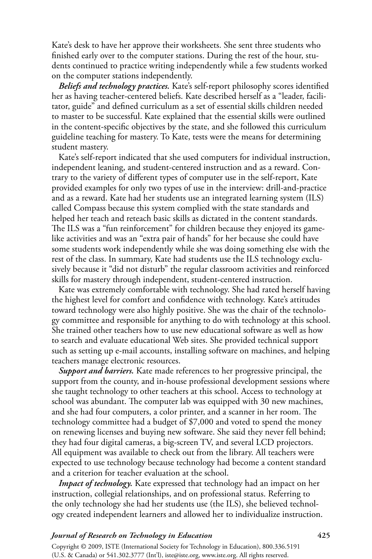Kate's desk to have her approve their worksheets. She sent three students who finished early over to the computer stations. During the rest of the hour, students continued to practice writing independently while a few students worked on the computer stations independently.

*Beliefs and technology practices.* Kate's self-report philosophy scores identified her as having teacher-centered beliefs. Kate described herself as a "leader, facilitator, guide" and defined curriculum as a set of essential skills children needed to master to be successful. Kate explained that the essential skills were outlined in the content-specific objectives by the state, and she followed this curriculum guideline teaching for mastery. To Kate, tests were the means for determining student mastery.

Kate's self-report indicated that she used computers for individual instruction, independent leaning, and student-centered instruction and as a reward. Contrary to the variety of different types of computer use in the self-report, Kate provided examples for only two types of use in the interview: drill-and-practice and as a reward. Kate had her students use an integrated learning system (ILS) called Compass because this system complied with the state standards and helped her teach and reteach basic skills as dictated in the content standards. The ILS was a "fun reinforcement" for children because they enjoyed its gamelike activities and was an "extra pair of hands" for her because she could have some students work independently while she was doing something else with the rest of the class. In summary, Kate had students use the ILS technology exclusively because it "did not disturb" the regular classroom activities and reinforced skills for mastery through independent, student-centered instruction.

Kate was extremely comfortable with technology. She had rated herself having the highest level for comfort and confidence with technology. Kate's attitudes toward technology were also highly positive. She was the chair of the technology committee and responsible for anything to do with technology at this school. She trained other teachers how to use new educational software as well as how to search and evaluate educational Web sites. She provided technical support such as setting up e-mail accounts, installing software on machines, and helping teachers manage electronic resources.

*Support and barriers.* Kate made references to her progressive principal, the support from the county, and in-house professional development sessions where she taught technology to other teachers at this school. Access to technology at school was abundant. The computer lab was equipped with 30 new machines, and she had four computers, a color printer, and a scanner in her room. The technology committee had a budget of \$7,000 and voted to spend the money on renewing licenses and buying new software. She said they never fell behind; they had four digital cameras, a big-screen TV, and several LCD projectors. All equipment was available to check out from the library. All teachers were expected to use technology because technology had become a content standard and a criterion for teacher evaluation at the school.

*Impact of technology*. Kate expressed that technology had an impact on her instruction, collegial relationships, and on professional status. Referring to the only technology she had her students use (the ILS), she believed technology created independent learners and allowed her to individualize instruction.

### *Journal of Research on Technology in Education* **425**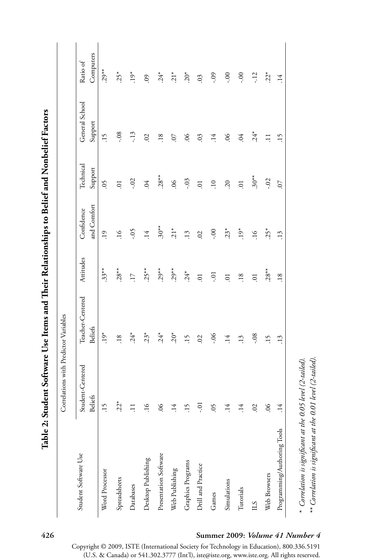Correlations with Predictor Variables Correlations with Predictor Variables

| Student Software Use        | Student-Centered<br><b>Beliefs</b> | Teacher-Centered<br><b>Beliefs</b> | Attitudes        | and Comfort<br>Confidence | Technical<br>Support | General School<br>Support | Computers<br>Ratio of |
|-----------------------------|------------------------------------|------------------------------------|------------------|---------------------------|----------------------|---------------------------|-----------------------|
| Word Processor              | 15                                 | $19*$                              | $.33**$          | .19                       | 65                   | $\frac{15}{2}$            | $.29**$               |
| Spreadsheets                | $.22*$                             | .18                                | $.28**$          | $\frac{6}{1}$             | $\overline{0}$       | $-0.8$                    | $.25*$                |
| Databases                   | $\Xi$                              | $.24*$                             | $\overline{17}$  | -.05                      | $-0.2$               | $-13$                     | $19*$                 |
| Desktop Publishing          | $\frac{6}{1}$                      | $23*$                              | $.25**$          | .14                       | 04                   | 02                        | <b>09</b>             |
| Presentation Software       | $\frac{6}{1}$                      | $.24*$                             | $.29**$          | $.30**$                   | $.28***$             | .18                       | $24*$                 |
| Web Publishing              | -14                                | $.20*$                             | $.29**$          | $21*$                     | $\frac{90}{2}$       | $\sim$                    | $\frac{1}{2}$         |
| Graphics Programs           | ٦Ś.                                | $\overline{15}$                    | $.24*$           | .13                       | $-0.3$               | $\frac{6}{5}$             | $.20*$                |
| Drill and Practice          | ៊ុ                                 | 02                                 | $\overline{0}$ . | $\overline{0}$            | $\overline{0}$ .     | $\ddot{\circ}$            | 03                    |
| Games                       | .05                                | $-0.5$                             | ΓĢ.              | $-0.0$                    | $\overline{10}$      | $\dot{14}$                | <b>.09</b>            |
| Simulations                 | -14                                | $\overline{14}$                    | 5.               | $.23*$                    | $\overline{c}$ .     | $\frac{6}{3}$             | $-0$                  |
| Tutorials                   | 14                                 | .13                                | .18              | $\ddot{1}9^*$             | $\overline{0}$       | Ŕ.                        | $-0$                  |
| ПS                          | $\approx$                          | $-0.8$                             | Ξ.               | $\frac{5}{16}$            | $.30**$              | $.24*$                    | $-12$                 |
| Web Browsers                | 90.                                | $\ddot{15}$                        | $.28***$         | $25*$                     | $-0.2$               | $\Xi$                     | $.22*$                |
| Programming/Authoring Tools | 14                                 | .13                                | .18              | .13                       | $\overline{C}$       | 15                        | $\overline{14}$       |

# Table 2: Student Software Use Items and Their Relationships to Belief and Nonbelief Factors **Table 2: Student Software Use Items and Their Relationships to Belief and Nonbelief Factors**

### **426 Summer 2009:** *Volume 41 Number 4*

*\* Correlation is significant at the 0.05 level (2-tailed). \*\* Correlation is significant at the 0.01 level (2-tailed).*

\* Correlation is significant at the 0.05 level (2-tailed). \*\* Correlation is significant at the 0.01 level (2-tailed).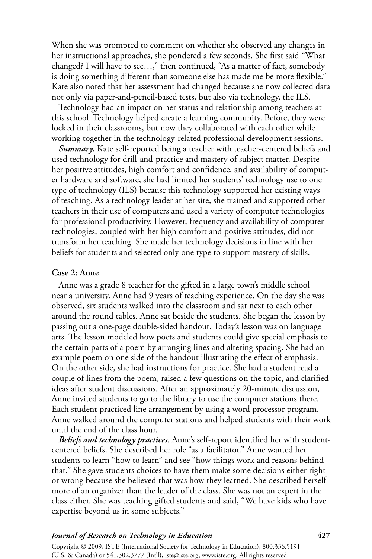When she was prompted to comment on whether she observed any changes in her instructional approaches, she pondered a few seconds. She first said "What changed? I will have to see…," then continued, "As a matter of fact, somebody is doing something different than someone else has made me be more flexible." Kate also noted that her assessment had changed because she now collected data not only via paper-and-pencil-based tests, but also via technology, the ILS.

Technology had an impact on her status and relationship among teachers at this school. Technology helped create a learning community. Before, they were locked in their classrooms, but now they collaborated with each other while working together in the technology-related professional development sessions.

*Summary.* Kate self-reported being a teacher with teacher-centered beliefs and used technology for drill-and-practice and mastery of subject matter. Despite her positive attitudes, high comfort and confidence, and availability of computer hardware and software, she had limited her students' technology use to one type of technology (ILS) because this technology supported her existing ways of teaching. As a technology leader at her site, she trained and supported other teachers in their use of computers and used a variety of computer technologies for professional productivity. However, frequency and availability of computer technologies, coupled with her high comfort and positive attitudes, did not transform her teaching. She made her technology decisions in line with her beliefs for students and selected only one type to support mastery of skills.

### **Case 2: Anne**

Anne was a grade 8 teacher for the gifted in a large town's middle school near a university. Anne had 9 years of teaching experience. On the day she was observed, six students walked into the classroom and sat next to each other around the round tables. Anne sat beside the students. She began the lesson by passing out a one-page double-sided handout. Today's lesson was on language arts. The lesson modeled how poets and students could give special emphasis to the certain parts of a poem by arranging lines and altering spacing. She had an example poem on one side of the handout illustrating the effect of emphasis. On the other side, she had instructions for practice. She had a student read a couple of lines from the poem, raised a few questions on the topic, and clarified ideas after student discussions. After an approximately 20-minute discussion, Anne invited students to go to the library to use the computer stations there. Each student practiced line arrangement by using a word processor program. Anne walked around the computer stations and helped students with their work until the end of the class hour.

*Beliefs and technology practices*. Anne's self-report identified her with studentcentered beliefs. She described her role "as a facilitator." Anne wanted her students to learn "how to learn" and see "how things work and reasons behind that." She gave students choices to have them make some decisions either right or wrong because she believed that was how they learned. She described herself more of an organizer than the leader of the class. She was not an expert in the class either. She was teaching gifted students and said, "We have kids who have expertise beyond us in some subjects."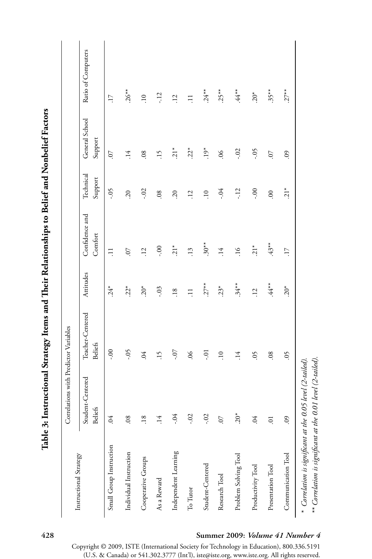|                                                                                                                            | Correlations with Predictor Variables |                                    |            |                           |                      |                           |                    |
|----------------------------------------------------------------------------------------------------------------------------|---------------------------------------|------------------------------------|------------|---------------------------|----------------------|---------------------------|--------------------|
| Instructional Strategy                                                                                                     |                                       |                                    |            |                           |                      |                           |                    |
|                                                                                                                            | Student-Centered<br><b>Beliefs</b>    | Teacher-Centered<br><b>Beliefs</b> | Attitudes  | Confidence and<br>Comfort | Technical<br>Support | General School<br>Support | Ratio of Computers |
| Small Group Instruction                                                                                                    | 04                                    | 00.                                | $24*$      | $\Xi$                     | $-0.5$               | $\overline{0}$ .          | $\overline{17}$    |
| Individual Instruction                                                                                                     | .08                                   | $-0.5$                             | $.22*$     | $\overline{0}$ .          | 20                   | .14                       | $.26***$           |
| Cooperative Groups                                                                                                         | $\frac{18}{1}$                        | Ř.                                 | $20*$      | $\overline{12}$           | $-0.2$               | .08                       | $\overline{10}$    |
| As a Reward                                                                                                                | $\overline{14}$                       | .15                                | $-0.3$     | $00 -$                    | 08                   | $\ddot{.}15$              | $-12$              |
| Independent Learning                                                                                                       | $-0.4$                                | $-0.7$                             | .18        | $21*$                     | 20                   | $\overline{21}^*$         | .12                |
| $\rm To\,Tutor$                                                                                                            | $-0.2$                                | 90.                                | $\Xi$      | $\cdot$ 13                | $\overline{12}$      | $22*$                     | $\Xi$              |
| Student-Centered                                                                                                           | $-0.2$                                | LO-                                | $.27**$    | $.30**$                   | $\overline{10}$      | $19*$                     | $.24**$            |
| Research Tool                                                                                                              | $\overline{0}$ .                      | $\overline{10}$                    | $.23*$     | .14                       | $-0.4$               | $\sim$                    | $.25**$            |
| Problem Solving Tool                                                                                                       | $20*$                                 | .14                                | $.34***$   | 16                        | $-12$                | $-0.2$                    | .44**              |
| Productivity Tool                                                                                                          | .04                                   | $\widetilde{5}0$ .                 | $\ddot{5}$ | $21*$                     | $-0.0$               | $-0.5$                    | $.20*$             |
| Presentation Tool                                                                                                          | $\overline{0}$                        | .08                                | .44**      | $.43**$                   | $\overline{00}$      | $\overline{0}$ .          | $.35**$            |
| Communication Tool                                                                                                         | 60                                    | $\zeta$                            | $20*$      | $\overline{17}$           | $21*$                | <b>SO</b>                 | $.27**$            |
| $*$ Correlation is significant at the 0.05 level (2-tailed).<br>** Correlation is significant at the 0.01 level (2-tailed) |                                       |                                    |            |                           |                      |                           |                    |

# Table 3: Instructional Strategy Items and Their Relationships to Belief and Nonbelief Factors **Table 3: Instructional Strategy Items and Their Relationships to Belief and Nonbelief Factors**

### **428 Summer 2009:** *Volume 41 Number 4*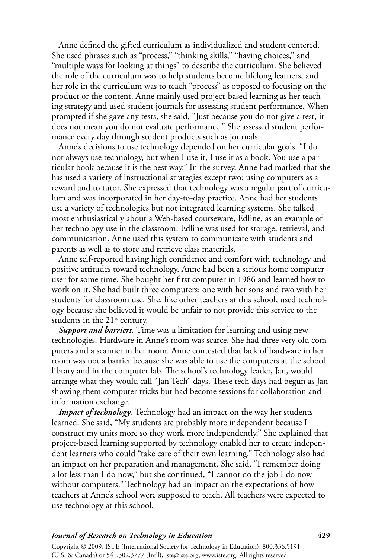Anne defined the gifted curriculum as individualized and student centered. She used phrases such as "process," "thinking skills," "having choices," and "multiple ways for looking at things" to describe the curriculum. She believed the role of the curriculum was to help students become lifelong learners, and her role in the curriculum was to teach "process" as opposed to focusing on the product or the content. Anne mainly used project-based learning as her teaching strategy and used student journals for assessing student performance. When prompted if she gave any tests, she said, "Just because you do not give a test, it does not mean you do not evaluate performance." She assessed student performance every day through student products such as journals.

Anne's decisions to use technology depended on her curricular goals. "I do not always use technology, but when I use it, I use it as a book. You use a particular book because it is the best way." In the survey, Anne had marked that she has used a variety of instructional strategies except two: using computers as a reward and to tutor. She expressed that technology was a regular part of curriculum and was incorporated in her day-to-day practice. Anne had her students use a variety of technologies but not integrated learning systems. She talked most enthusiastically about a Web-based courseware, Edline, as an example of her technology use in the classroom. Edline was used for storage, retrieval, and communication. Anne used this system to communicate with students and parents as well as to store and retrieve class materials.

Anne self-reported having high confidence and comfort with technology and positive attitudes toward technology. Anne had been a serious home computer user for some time. She bought her first computer in 1986 and learned how to work on it. She had built three computers: one with her sons and two with her students for classroom use. She, like other teachers at this school, used technology because she believed it would be unfair to not provide this service to the students in the  $21^{st}$  century.

*Support and barriers.* Time was a limitation for learning and using new technologies. Hardware in Anne's room was scarce. She had three very old computers and a scanner in her room. Anne contested that lack of hardware in her room was not a barrier because she was able to use the computers at the school library and in the computer lab. The school's technology leader, Jan, would arrange what they would call "Jan Tech" days. These tech days had begun as Jan showing them computer tricks but had become sessions for collaboration and information exchange.

*Impact of technology.* Technology had an impact on the way her students learned. She said, "My students are probably more independent because I construct my units more so they work more independently." She explained that project-based learning supported by technology enabled her to create independent learners who could "take care of their own learning." Technology also had an impact on her preparation and management. She said, "I remember doing a lot less than I do now," but she continued, "I cannot do the job I do now without computers." Technology had an impact on the expectations of how teachers at Anne's school were supposed to teach. All teachers were expected to use technology at this school.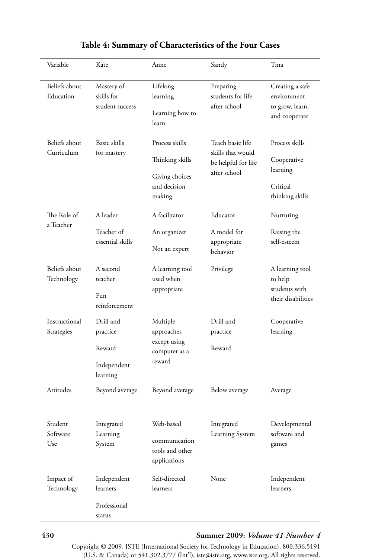| Variable                 | Kate                          | Anne                            | Sandy                                    | Tina                           |
|--------------------------|-------------------------------|---------------------------------|------------------------------------------|--------------------------------|
| Beliefs about            | Mastery of                    | Lifelong                        | Preparing                                | Creating a safe                |
| Education                | skills for<br>student success | learning                        | students for life<br>after school        | environment<br>to grow, learn, |
|                          |                               | Learning how to<br>learn        |                                          | and cooperate                  |
| Beliefs about            | Basic skills                  | Process skills                  | Teach basic life                         | Process skills                 |
| Curriculum               | for mastery                   | Thinking skills                 | skills that would<br>be helpful for life | Cooperative<br>learning        |
|                          |                               | Giving choices                  | after school                             |                                |
|                          |                               | and decision<br>making          |                                          | Critical<br>thinking skills    |
|                          |                               |                                 |                                          |                                |
| The Role of<br>a Teacher | A leader                      | A facilitator                   | Educator                                 | Nurturing                      |
|                          | Teacher of                    | An organizer                    | A model for                              | Raising the                    |
|                          | essential skills              | Not an expert                   | appropriate<br>behavior                  | self-esteem                    |
| Beliefs about            | A second                      | A learning tool                 | Privilege                                | A learning tool                |
| Technology               | teacher                       | used when                       |                                          | to help<br>students with       |
|                          | Fun                           | appropriate                     |                                          | their disabilities             |
|                          | reinforcement                 |                                 |                                          |                                |
| Instructional            | Drill and                     | Multiple                        | Drill and                                | Cooperative                    |
| Strategies               | practice                      | approaches<br>except using      | practice                                 | learning                       |
|                          | Reward                        | computer as a                   | Reward                                   |                                |
|                          | Independent<br>learning       | reward                          |                                          |                                |
| Attitudes                | Beyond average                | Beyond average                  | Below average                            | Average                        |
|                          |                               |                                 |                                          |                                |
| Student                  | Integrated                    | Web-based                       | Integrated                               | Developmental                  |
| Software<br>Use          | Learning<br>System            | communication                   | Learning System                          | software and                   |
|                          |                               | tools and other<br>applications |                                          | games                          |
| Impact of                | Independent                   | Self-directed                   | None                                     | Independent                    |
| Technology               | learners                      | learners                        |                                          | learners                       |
|                          | Professional<br>status        |                                 |                                          |                                |

## **Table 4: Summary of Characteristics of the Four Cases**

### **430 Summer 2009:** *Volume 41 Number 4*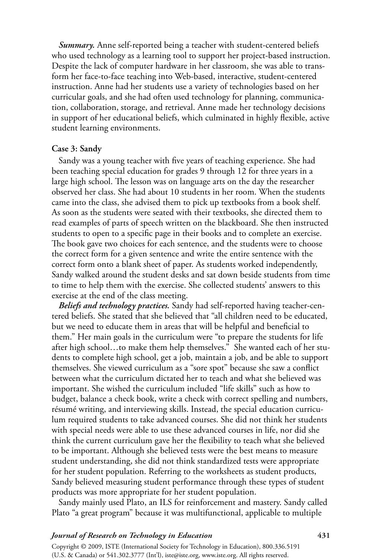*Summary.* Anne self-reported being a teacher with student-centered beliefs who used technology as a learning tool to support her project-based instruction. Despite the lack of computer hardware in her classroom, she was able to transform her face-to-face teaching into Web-based, interactive, student-centered instruction. Anne had her students use a variety of technologies based on her curricular goals, and she had often used technology for planning, communication, collaboration, storage, and retrieval. Anne made her technology decisions in support of her educational beliefs, which culminated in highly flexible, active student learning environments.

### **Case 3: Sandy**

Sandy was a young teacher with five years of teaching experience. She had been teaching special education for grades 9 through 12 for three years in a large high school. The lesson was on language arts on the day the researcher observed her class. She had about 10 students in her room. When the students came into the class, she advised them to pick up textbooks from a book shelf. As soon as the students were seated with their textbooks, she directed them to read examples of parts of speech written on the blackboard. She then instructed students to open to a specific page in their books and to complete an exercise. The book gave two choices for each sentence, and the students were to choose the correct form for a given sentence and write the entire sentence with the correct form onto a blank sheet of paper. As students worked independently, Sandy walked around the student desks and sat down beside students from time to time to help them with the exercise. She collected students' answers to this exercise at the end of the class meeting.

*Beliefs and technology practices.* Sandy had self-reported having teacher-centered beliefs. She stated that she believed that "all children need to be educated, but we need to educate them in areas that will be helpful and beneficial to them." Her main goals in the curriculum were "to prepare the students for life after high school…to make them help themselves." She wanted each of her students to complete high school, get a job, maintain a job, and be able to support themselves. She viewed curriculum as a "sore spot" because she saw a conflict between what the curriculum dictated her to teach and what she believed was important. She wished the curriculum included "life skills" such as how to budget, balance a check book, write a check with correct spelling and numbers, résumé writing, and interviewing skills. Instead, the special education curriculum required students to take advanced courses. She did not think her students with special needs were able to use these advanced courses in life, nor did she think the current curriculum gave her the flexibility to teach what she believed to be important. Although she believed tests were the best means to measure student understanding, she did not think standardized tests were appropriate for her student population. Referring to the worksheets as student products, Sandy believed measuring student performance through these types of student products was more appropriate for her student population.

Sandy mainly used Plato, an ILS for reinforcement and mastery. Sandy called Plato "a great program" because it was multifunctional, applicable to multiple

### *Journal of Research on Technology in Education* **431**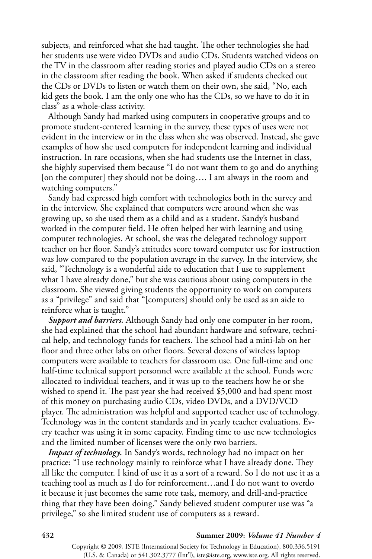subjects, and reinforced what she had taught. The other technologies she had her students use were video DVDs and audio CDs. Students watched videos on the TV in the classroom after reading stories and played audio CDs on a stereo in the classroom after reading the book. When asked if students checked out the CDs or DVDs to listen or watch them on their own, she said, "No, each kid gets the book. I am the only one who has the CDs, so we have to do it in class" as a whole-class activity.

Although Sandy had marked using computers in cooperative groups and to promote student-centered learning in the survey, these types of uses were not evident in the interview or in the class when she was observed. Instead, she gave examples of how she used computers for independent learning and individual instruction. In rare occasions, when she had students use the Internet in class, she highly supervised them because "I do not want them to go and do anything [on the computer] they should not be doing…. I am always in the room and watching computers."

Sandy had expressed high comfort with technologies both in the survey and in the interview. She explained that computers were around when she was growing up, so she used them as a child and as a student. Sandy's husband worked in the computer field. He often helped her with learning and using computer technologies. At school, she was the delegated technology support teacher on her floor. Sandy's attitudes score toward computer use for instruction was low compared to the population average in the survey. In the interview, she said, "Technology is a wonderful aide to education that I use to supplement what I have already done," but she was cautious about using computers in the classroom. She viewed giving students the opportunity to work on computers as a "privilege" and said that "[computers] should only be used as an aide to reinforce what is taught."

*Support and barriers.* Although Sandy had only one computer in her room, she had explained that the school had abundant hardware and software, technical help, and technology funds for teachers. The school had a mini-lab on her floor and three other labs on other floors. Several dozens of wireless laptop computers were available to teachers for classroom use. One full-time and one half-time technical support personnel were available at the school. Funds were allocated to individual teachers, and it was up to the teachers how he or she wished to spend it. The past year she had received \$5,000 and had spent most of this money on purchasing audio CDs, video DVDs, and a DVD/VCD player. The administration was helpful and supported teacher use of technology. Technology was in the content standards and in yearly teacher evaluations. Every teacher was using it in some capacity. Finding time to use new technologies and the limited number of licenses were the only two barriers.

*Impact of technology.* In Sandy's words, technology had no impact on her practice: "I use technology mainly to reinforce what I have already done. They all like the computer. I kind of use it as a sort of a reward. So I do not use it as a teaching tool as much as I do for reinforcement…and I do not want to overdo it because it just becomes the same rote task, memory, and drill-and-practice thing that they have been doing." Sandy believed student computer use was "a privilege," so she limited student use of computers as a reward.

### **432 Summer 2009:** *Volume 41 Number 4*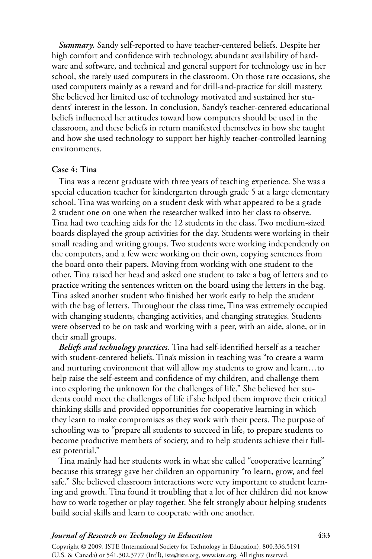*Summary.* Sandy self-reported to have teacher-centered beliefs. Despite her high comfort and confidence with technology, abundant availability of hardware and software, and technical and general support for technology use in her school, she rarely used computers in the classroom. On those rare occasions, she used computers mainly as a reward and for drill-and-practice for skill mastery. She believed her limited use of technology motivated and sustained her students' interest in the lesson. In conclusion, Sandy's teacher-centered educational beliefs influenced her attitudes toward how computers should be used in the classroom, and these beliefs in return manifested themselves in how she taught and how she used technology to support her highly teacher-controlled learning environments.

### **Case 4: Tina**

Tina was a recent graduate with three years of teaching experience. She was a special education teacher for kindergarten through grade 5 at a large elementary school. Tina was working on a student desk with what appeared to be a grade 2 student one on one when the researcher walked into her class to observe. Tina had two teaching aids for the 12 students in the class. Two medium-sized boards displayed the group activities for the day. Students were working in their small reading and writing groups. Two students were working independently on the computers, and a few were working on their own, copying sentences from the board onto their papers. Moving from working with one student to the other, Tina raised her head and asked one student to take a bag of letters and to practice writing the sentences written on the board using the letters in the bag. Tina asked another student who finished her work early to help the student with the bag of letters. Throughout the class time, Tina was extremely occupied with changing students, changing activities, and changing strategies. Students were observed to be on task and working with a peer, with an aide, alone, or in their small groups.

*Beliefs and technology practices.* Tina had self-identified herself as a teacher with student-centered beliefs. Tina's mission in teaching was "to create a warm and nurturing environment that will allow my students to grow and learn…to help raise the self-esteem and confidence of my children, and challenge them into exploring the unknown for the challenges of life." She believed her students could meet the challenges of life if she helped them improve their critical thinking skills and provided opportunities for cooperative learning in which they learn to make compromises as they work with their peers. The purpose of schooling was to "prepare all students to succeed in life, to prepare students to become productive members of society, and to help students achieve their fullest potential."

Tina mainly had her students work in what she called "cooperative learning" because this strategy gave her children an opportunity "to learn, grow, and feel safe." She believed classroom interactions were very important to student learning and growth. Tina found it troubling that a lot of her children did not know how to work together or play together. She felt strongly about helping students build social skills and learn to cooperate with one another.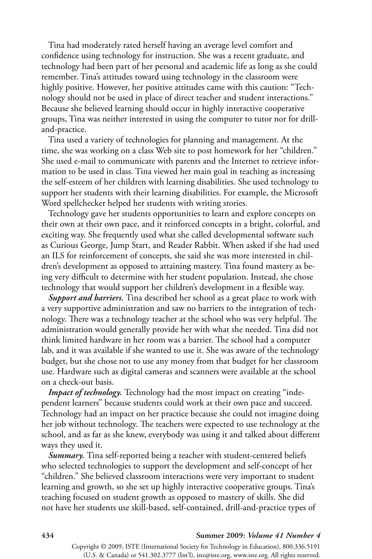Tina had moderately rated herself having an average level comfort and confidence using technology for instruction. She was a recent graduate, and technology had been part of her personal and academic life as long as she could remember. Tina's attitudes toward using technology in the classroom were highly positive. However, her positive attitudes came with this caution: "Technology should not be used in place of direct teacher and student interactions." Because she believed learning should occur in highly interactive cooperative groups, Tina was neither interested in using the computer to tutor nor for drilland-practice.

Tina used a variety of technologies for planning and management. At the time, she was working on a class Web site to post homework for her "children." She used e-mail to communicate with parents and the Internet to retrieve information to be used in class. Tina viewed her main goal in teaching as increasing the self-esteem of her children with learning disabilities. She used technology to support her students with their learning disabilities. For example, the Microsoft Word spellchecker helped her students with writing stories.

Technology gave her students opportunities to learn and explore concepts on their own at their own pace, and it reinforced concepts in a bright, colorful, and exciting way. She frequently used what she called developmental software such as Curious George, Jump Start, and Reader Rabbit. When asked if she had used an ILS for reinforcement of concepts, she said she was more interested in children's development as opposed to attaining mastery. Tina found mastery as being very difficult to determine with her student population. Instead, she chose technology that would support her children's development in a flexible way.

*Support and barriers.* Tina described her school as a great place to work with a very supportive administration and saw no barriers to the integration of technology. There was a technology teacher at the school who was very helpful. The administration would generally provide her with what she needed. Tina did not think limited hardware in her room was a barrier. The school had a computer lab, and it was available if she wanted to use it. She was aware of the technology budget, but she chose not to use any money from that budget for her classroom use. Hardware such as digital cameras and scanners were available at the school on a check-out basis.

*Impact of technology*. Technology had the most impact on creating "independent learners" because students could work at their own pace and succeed. Technology had an impact on her practice because she could not imagine doing her job without technology. The teachers were expected to use technology at the school, and as far as she knew, everybody was using it and talked about different ways they used it.

*Summary.* Tina self-reported being a teacher with student-centered beliefs who selected technologies to support the development and self-concept of her "children." She believed classroom interactions were very important to student learning and growth, so she set up highly interactive cooperative groups. Tina's teaching focused on student growth as opposed to mastery of skills. She did not have her students use skill-based, self-contained, drill-and-practice types of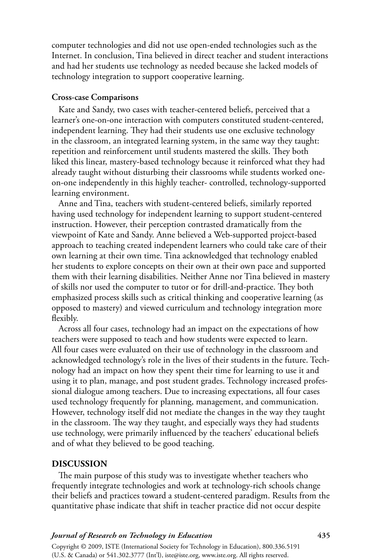computer technologies and did not use open-ended technologies such as the Internet. In conclusion, Tina believed in direct teacher and student interactions and had her students use technology as needed because she lacked models of technology integration to support cooperative learning.

### **Cross-case Comparisons**

Kate and Sandy, two cases with teacher-centered beliefs, perceived that a learner's one-on-one interaction with computers constituted student-centered, independent learning. They had their students use one exclusive technology in the classroom, an integrated learning system, in the same way they taught: repetition and reinforcement until students mastered the skills. They both liked this linear, mastery-based technology because it reinforced what they had already taught without disturbing their classrooms while students worked oneon-one independently in this highly teacher- controlled, technology-supported learning environment.

Anne and Tina, teachers with student-centered beliefs, similarly reported having used technology for independent learning to support student-centered instruction. However, their perception contrasted dramatically from the viewpoint of Kate and Sandy. Anne believed a Web-supported project-based approach to teaching created independent learners who could take care of their own learning at their own time. Tina acknowledged that technology enabled her students to explore concepts on their own at their own pace and supported them with their learning disabilities. Neither Anne nor Tina believed in mastery of skills nor used the computer to tutor or for drill-and-practice. They both emphasized process skills such as critical thinking and cooperative learning (as opposed to mastery) and viewed curriculum and technology integration more flexibly.

Across all four cases, technology had an impact on the expectations of how teachers were supposed to teach and how students were expected to learn. All four cases were evaluated on their use of technology in the classroom and acknowledged technology's role in the lives of their students in the future. Technology had an impact on how they spent their time for learning to use it and using it to plan, manage, and post student grades. Technology increased professional dialogue among teachers. Due to increasing expectations, all four cases used technology frequently for planning, management, and communication. However, technology itself did not mediate the changes in the way they taught in the classroom. The way they taught, and especially ways they had students use technology, were primarily influenced by the teachers' educational beliefs and of what they believed to be good teaching.

### **DISCUSSION**

The main purpose of this study was to investigate whether teachers who frequently integrate technologies and work at technology-rich schools change their beliefs and practices toward a student-centered paradigm. Results from the quantitative phase indicate that shift in teacher practice did not occur despite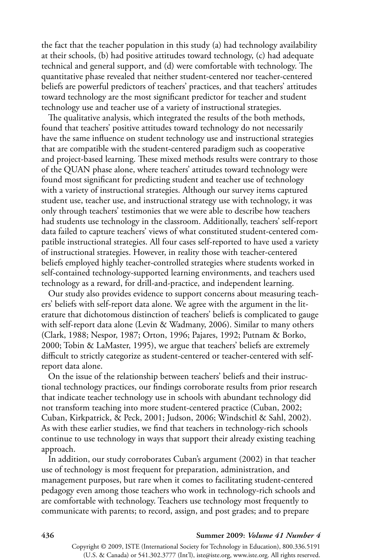the fact that the teacher population in this study (a) had technology availability at their schools, (b) had positive attitudes toward technology, (c) had adequate technical and general support, and (d) were comfortable with technology. The quantitative phase revealed that neither student-centered nor teacher-centered beliefs are powerful predictors of teachers' practices, and that teachers' attitudes toward technology are the most significant predictor for teacher and student technology use and teacher use of a variety of instructional strategies.

The qualitative analysis, which integrated the results of the both methods, found that teachers' positive attitudes toward technology do not necessarily have the same influence on student technology use and instructional strategies that are compatible with the student-centered paradigm such as cooperative and project-based learning. These mixed methods results were contrary to those of the QUAN phase alone, where teachers' attitudes toward technology were found most significant for predicting student and teacher use of technology with a variety of instructional strategies. Although our survey items captured student use, teacher use, and instructional strategy use with technology, it was only through teachers' testimonies that we were able to describe how teachers had students use technology in the classroom. Additionally, teachers' self-report data failed to capture teachers' views of what constituted student-centered compatible instructional strategies. All four cases self-reported to have used a variety of instructional strategies. However, in reality those with teacher-centered beliefs employed highly teacher-controlled strategies where students worked in self-contained technology-supported learning environments, and teachers used technology as a reward, for drill-and-practice, and independent learning.

Our study also provides evidence to support concerns about measuring teachers' beliefs with self-report data alone. We agree with the argument in the literature that dichotomous distinction of teachers' beliefs is complicated to gauge with self-report data alone (Levin & Wadmany, 2006). Similar to many others (Clark, 1988; Nespor, 1987; Orton, 1996; Pajares, 1992; Putnam & Borko, 2000; Tobin & LaMaster, 1995), we argue that teachers' beliefs are extremely difficult to strictly categorize as student-centered or teacher-centered with selfreport data alone.

On the issue of the relationship between teachers' beliefs and their instructional technology practices, our findings corroborate results from prior research that indicate teacher technology use in schools with abundant technology did not transform teaching into more student-centered practice (Cuban, 2002; Cuban, Kirkpatrick, & Peck, 2001; Judson, 2006; Windschitl & Sahl, 2002). As with these earlier studies, we find that teachers in technology-rich schools continue to use technology in ways that support their already existing teaching approach.

In addition, our study corroborates Cuban's argument (2002) in that teacher use of technology is most frequent for preparation, administration, and management purposes, but rare when it comes to facilitating student-centered pedagogy even among those teachers who work in technology-rich schools and are comfortable with technology. Teachers use technology most frequently to communicate with parents; to record, assign, and post grades; and to prepare

### **436 Summer 2009:** *Volume 41 Number 4*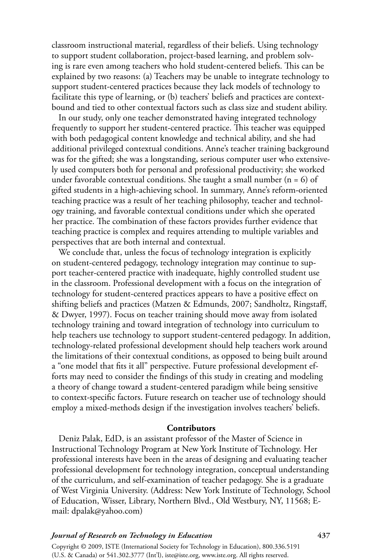classroom instructional material, regardless of their beliefs. Using technology to support student collaboration, project-based learning, and problem solving is rare even among teachers who hold student-centered beliefs. This can be explained by two reasons: (a) Teachers may be unable to integrate technology to support student-centered practices because they lack models of technology to facilitate this type of learning, or (b) teachers' beliefs and practices are contextbound and tied to other contextual factors such as class size and student ability.

In our study, only one teacher demonstrated having integrated technology frequently to support her student-centered practice. This teacher was equipped with both pedagogical content knowledge and technical ability, and she had additional privileged contextual conditions. Anne's teacher training background was for the gifted; she was a longstanding, serious computer user who extensively used computers both for personal and professional productivity; she worked under favorable contextual conditions. She taught a small number  $(n = 6)$  of gifted students in a high-achieving school. In summary, Anne's reform-oriented teaching practice was a result of her teaching philosophy, teacher and technology training, and favorable contextual conditions under which she operated her practice. The combination of these factors provides further evidence that teaching practice is complex and requires attending to multiple variables and perspectives that are both internal and contextual.

We conclude that, unless the focus of technology integration is explicitly on student-centered pedagogy, technology integration may continue to support teacher-centered practice with inadequate, highly controlled student use in the classroom. Professional development with a focus on the integration of technology for student-centered practices appears to have a positive effect on shifting beliefs and practices (Matzen & Edmunds, 2007; Sandholtz, Ringstaff, & Dwyer, 1997). Focus on teacher training should move away from isolated technology training and toward integration of technology into curriculum to help teachers use technology to support student-centered pedagogy. In addition, technology-related professional development should help teachers work around the limitations of their contextual conditions, as opposed to being built around a "one model that fits it all" perspective. Future professional development efforts may need to consider the findings of this study in creating and modeling a theory of change toward a student-centered paradigm while being sensitive to context-specific factors. Future research on teacher use of technology should employ a mixed-methods design if the investigation involves teachers' beliefs.

### **Contributors**

Deniz Palak, EdD, is an assistant professor of the Master of Science in Instructional Technology Program at New York Institute of Technology. Her professional interests have been in the areas of designing and evaluating teacher professional development for technology integration, conceptual understanding of the curriculum, and self-examination of teacher pedagogy. She is a graduate of West Virginia University. (Address: New York Institute of Technology, School of Education, Wisser, Library, Northern Blvd., Old Westbury, NY, 11568; Email: dpalak@yahoo.com)

### *Journal of Research on Technology in Education* **437**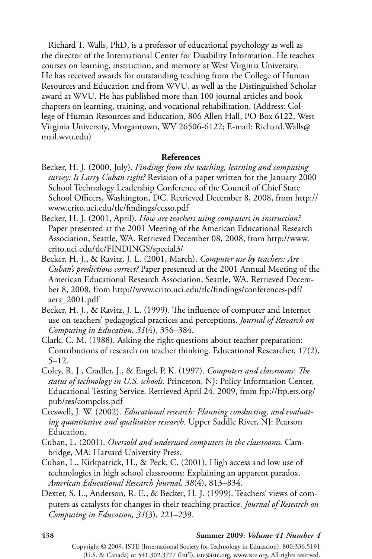Richard T. Walls, PhD, is a professor of educational psychology as well as the director of the International Center for Disability Information. He teaches courses on learning, instruction, and memory at West Virginia University. He has received awards for outstanding teaching from the College of Human Resources and Education and from WVU, as well as the Distinguished Scholar award at WVU. He has published more than 100 journal articles and book chapters on learning, training, and vocational rehabilitation. (Address: College of Human Resources and Education, 806 Allen Hall, PO Box 6122, West Virginia University, Morgantown, WV 26506-6122; E-mail: Richard.Walls@ mail.wvu.edu)

### **References**

- Becker, H. J. (2000, July). *Findings from the teaching, learning and computing survey: Is Larry Cuban right?* Revision of a paper written for the January 2000 School Technology Leadership Conference of the Council of Chief State School Officers, Washington, DC. Retrieved December 8, 2008, from http:// www.crito.uci.edu/tlc/findings/ccsso.pdf
- Becker, H. J. (2001, April). *How are teachers using computers in instruction?*  Paper presented at the 2001 Meeting of the American Educational Research Association, Seattle, WA. Retrieved December 08, 2008, from http://www. crito.uci.edu/tlc/FINDINGS/special3/
- Becker, H. J., & Ravitz, J. L. (2001, March). *Computer use by teachers: Are Cuban's predictions correct?* Paper presented at the 2001 Annual Meeting of the American Educational Research Association, Seattle, WA. Retrieved December 8, 2008, from http://www.crito.uci.edu/tlc/findings/conferences-pdf/ aera\_2001.pdf
- Becker, H. J., & Ravitz, J. L. (1999). The influence of computer and Internet use on teachers' pedagogical practices and perceptions. *Journal of Research on Computing in Education, 31*(4), 356–384.
- Clark, C. M. (1988). Asking the right questions about teacher preparation: Contributions of research on teacher thinking. Educational Researcher, 17(2), 5–12.
- Coley, R. J., Cradler, J., & Engel, P. K. (1997). *Computers and classrooms: The status of technology in U.S. schools.* Princeton, NJ: Policy Information Center, Educational Testing Service. Retrieved April 24, 2009, from ftp://ftp.ets.org/ pub/res/compclss.pdf
- Creswell, J. W. (2002). *Educational research: Planning conducting, and evaluating quantitative and qualitative research.* Upper Saddle River, NJ: Pearson Education.
- Cuban, L. (2001). *Oversold and underused computers in the classrooms.* Cambridge, MA: Harvard University Press.
- Cuban, L., Kirkpatrick, H., & Peck, C. (2001). High access and low use of technologies in high school classrooms: Explaining an apparent paradox. *American Educational Research Journal, 38*(4), 813–834.
- Dexter, S. L., Anderson, R. E., & Becker, H. J. (1999). Teachers' views of computers as catalysts for changes in their teaching practice. *Journal of Research on Computing in Education, 31*(3), 221–239.

### **438 Summer 2009:** *Volume 41 Number 4*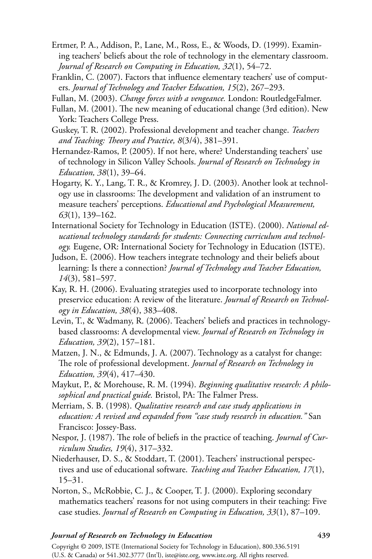- Ertmer, P. A., Addison, P., Lane, M., Ross, E., & Woods, D. (1999). Examining teachers' beliefs about the role of technology in the elementary classroom. *Journal of Research on Computing in Education, 32*(1), 54–72.
- Franklin, C. (2007). Factors that influence elementary teachers' use of computers. *Journal of Technology and Teacher Education, 15*(2), 267–293.
- Fullan, M. (2003). *Change forces with a vengeance.* London: RoutledgeFalmer.
- Fullan, M. (2001). The new meaning of educational change (3rd edition). New York: Teachers College Press.
- Guskey, T. R. (2002). Professional development and teacher change. *Teachers and Teaching: Theory and Practice, 8*(3/4), 381–391.
- Hernandez-Ramos, P. (2005). If not here, where? Understanding teachers' use of technology in Silicon Valley Schools. *Journal of Research on Technology in Education, 38*(1), 39–64.
- Hogarty, K. Y., Lang, T. R., & Kromrey, J. D. (2003). Another look at technology use in classrooms: The development and validation of an instrument to measure teachers' perceptions. *Educational and Psychological Measurement, 63*(1), 139–162.
- International Society for Technology in Education (ISTE). (2000). *National educational technology standards for students: Connecting curriculum and technology.* Eugene, OR: International Society for Technology in Education (ISTE).
- Judson, E. (2006). How teachers integrate technology and their beliefs about learning: Is there a connection? *Journal of Technology and Teacher Education, 14*(3), 581–597.
- Kay, R. H. (2006). Evaluating strategies used to incorporate technology into preservice education: A review of the literature. *Journal of Research on Technology in Education, 38*(4), 383–408.
- Levin, T., & Wadmany, R. (2006). Teachers' beliefs and practices in technologybased classrooms: A developmental view. *Journal of Research on Technology in Education, 39*(2), 157–181.
- Matzen, J. N., & Edmunds, J. A. (2007). Technology as a catalyst for change: The role of professional development. *Journal of Research on Technology in Education, 39*(4), 417–430.
- Maykut, P., & Morehouse, R. M. (1994). *Beginning qualitative research: A philosophical and practical guide.* Bristol, PA: The Falmer Press.
- Merriam, S. B. (1998). *Qualitative research and case study applications in education: A revised and expanded from "case study research in education."* San Francisco: Jossey-Bass.
- Nespor, J. (1987). The role of beliefs in the practice of teaching. *Journal of Curriculum Studies, 19*(4), 317–332.
- Niederhauser, D. S., & Stoddart, T. (2001). Teachers' instructional perspectives and use of educational software. *Teaching and Teacher Education, 17*(1), 15–31.
- Norton, S., McRobbie, C. J., & Cooper, T. J. (2000). Exploring secondary mathematics teachers' reasons for not using computers in their teaching: Five case studies. *Journal of Research on Computing in Education, 33*(1), 87–109.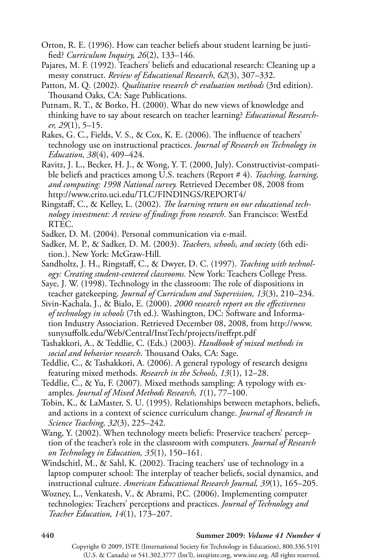- Orton, R. E. (1996). How can teacher beliefs about student learning be justified? *Curriculum Inquiry, 26*(2), 133–146.
- Pajares, M. F. (1992). Teachers' beliefs and educational research: Cleaning up a messy construct. *Review of Educational Research, 62*(3), 307–332.
- Patton, M. Q. (2002). *Qualitative research & evaluation methods* (3rd edition). Thousand Oaks, CA: Sage Publications.
- Putnam, R. T., & Borko, H. (2000). What do new views of knowledge and thinking have to say about research on teacher learning? *Educational Researcher, 29*(1), 5–15.
- Rakes, G. C., Fields, V. S., & Cox, K. E. (2006). The influence of teachers' technology use on instructional practices. *Journal of Research on Technology in Education, 38*(4), 409–424.
- Ravitz, J. L., Becker, H. J., & Wong, Y. T. (2000, July). Constructivist-compatible beliefs and practices among U.S. teachers (Report # 4). *Teaching, learning, and computing: 1998 National survey.* Retrieved December 08, 2008 from http://www.crito.uci.edu/TLC/FINDINGS/REPORT4/
- Ringstaff, C., & Kelley, L. (2002). *The learning return on our educational technology investment: A review of findings from research*. San Francisco: WestEd RTEC.
- Sadker, D. M. (2004). Personal communication via e-mail.
- Sadker, M. P., & Sadker, D. M. (2003). *Teachers, schools, and society* (6th edition.). New York: McGraw-Hill.
- Sandholtz, J. H., Ringstaff, C., & Dwyer, D. C. (1997). *Teaching with technology: Creating student-centered classrooms.* New York: Teachers College Press.
- Saye, J. W. (1998). Technology in the classroom: The role of dispositions in teacher gatekeeping. *Journal of Curriculum and Supervision, 13*(3), 210–234.
- Sivin-Kachala, J., & Bialo, E. (2000). *2000 research report on the effectiveness of technology in schools* (7th ed.). Washington, DC: Software and Information Industry Association. Retrieved December 08, 2008, from http://www. sunysuffolk.edu/Web/Central/InstTech/projects/iteffrpt.pdf
- Tashakkori, A., & Teddlie, C. (Eds.) (2003). *Handbook of mixed methods in social and behavior research*. Thousand Oaks, CA: Sage.
- Teddlie, C., & Tashakkori, A. (2006). A general typology of research designs featuring mixed methods. *Research in the Schools, 13*(1), 12–28.
- Teddlie, C., & Yu, F. (2007). Mixed methods sampling: A typology with examples. *Journal of Mixed Methods Research, 1*(1), 77–100.
- Tobin, K., & LaMaster, S. U. (1995). Relationships between metaphors, beliefs, and actions in a context of science curriculum change. *Journal of Research in Science Teaching, 32*(3), 225–242.
- Wang, Y. (2002). When technology meets beliefs: Preservice teachers' perception of the teacher's role in the classroom with computers. *Journal of Research on Technology in Education, 35*(1), 150–161.

Windschitl, M., & Sahl, K. (2002). Tracing teachers' use of technology in a laptop computer school: The interplay of teacher beliefs, social dynamics, and instructional culture. *American Educational Research Journal, 39*(1), 165–205.

Wozney, L., Venkatesh, V., & Abrami, P.C. (2006). Implementing computer technologies: Teachers' perceptions and practices. *Journal of Technology and Teacher Education, 14*(1), 173–207.

### **440 Summer 2009:** *Volume 41 Number 4*